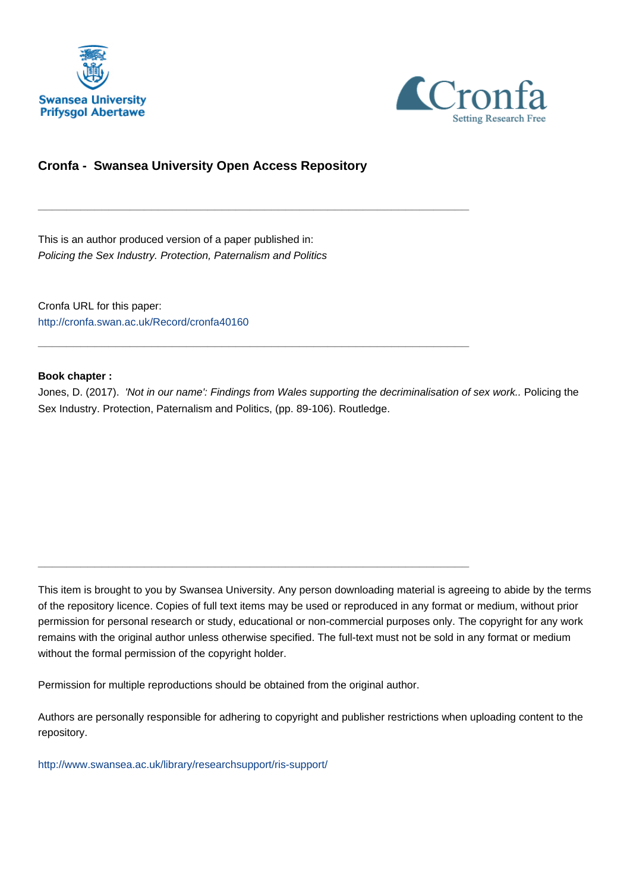



#### **Cronfa - Swansea University Open Access Repository**

\_\_\_\_\_\_\_\_\_\_\_\_\_\_\_\_\_\_\_\_\_\_\_\_\_\_\_\_\_\_\_\_\_\_\_\_\_\_\_\_\_\_\_\_\_\_\_\_\_\_\_\_\_\_\_\_\_\_\_\_\_

\_\_\_\_\_\_\_\_\_\_\_\_\_\_\_\_\_\_\_\_\_\_\_\_\_\_\_\_\_\_\_\_\_\_\_\_\_\_\_\_\_\_\_\_\_\_\_\_\_\_\_\_\_\_\_\_\_\_\_\_\_

\_\_\_\_\_\_\_\_\_\_\_\_\_\_\_\_\_\_\_\_\_\_\_\_\_\_\_\_\_\_\_\_\_\_\_\_\_\_\_\_\_\_\_\_\_\_\_\_\_\_\_\_\_\_\_\_\_\_\_\_\_

This is an author produced version of a paper published in: Policing the Sex Industry. Protection, Paternalism and Politics

Cronfa URL for this paper: <http://cronfa.swan.ac.uk/Record/cronfa40160>

#### **Book chapter :**

Jones, D. (2017). 'Not in our name': Findings from Wales supporting the decriminalisation of sex work.. Policing the Sex Industry. Protection, Paternalism and Politics, (pp. 89-106). Routledge.

This item is brought to you by Swansea University. Any person downloading material is agreeing to abide by the terms of the repository licence. Copies of full text items may be used or reproduced in any format or medium, without prior permission for personal research or study, educational or non-commercial purposes only. The copyright for any work remains with the original author unless otherwise specified. The full-text must not be sold in any format or medium without the formal permission of the copyright holder.

Permission for multiple reproductions should be obtained from the original author.

Authors are personally responsible for adhering to copyright and publisher restrictions when uploading content to the repository.

[http://www.swansea.ac.uk/library/researchsupport/ris-support/](http://www.swansea.ac.uk/library/researchsupport/ris-support/ )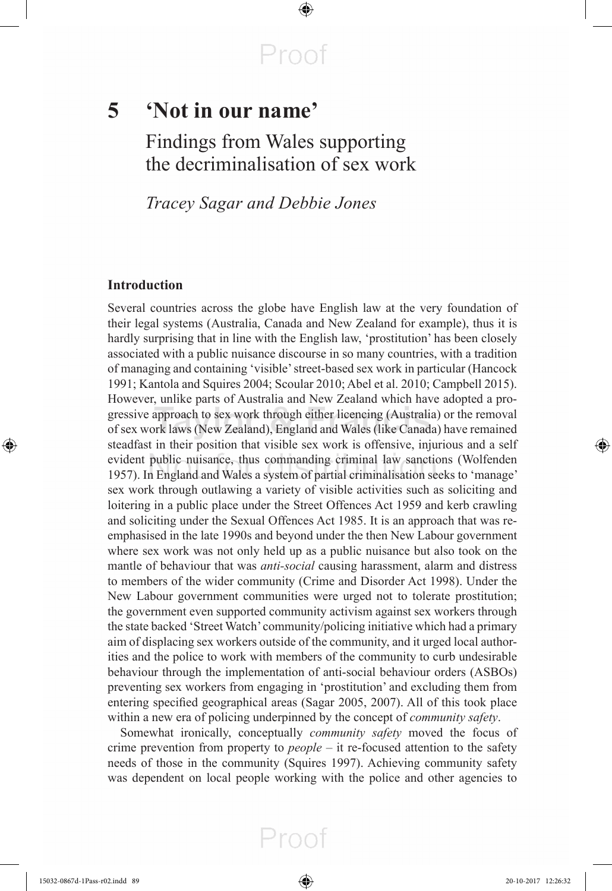$\bigoplus$ 

# **5 'Not in our name'**

 Findings from Wales supporting the decriminalisation of sex work

*Tracey Sagar and Debbie Jones* 

#### **Introduction**

 Several countries across the globe have English law at the very foundation of their legal systems (Australia, Canada and New Zealand for example), thus it is hardly surprising that in line with the English law, 'prostitution' has been closely associated with a public nuisance discourse in so many countries, with a tradition of managing and containing 'visible' street-based sex work in particular ( Hancock 1991; Kantola and Squires 2004; Scoular 2010; Abel et al. 2010; Campbell 2015). However, unlike parts of Australia and New Zealand which have adopted a progressive approach to sex work through either licencing (Australia) or the removal of sex work laws (New Zealand), England and Wales (like Canada) have remained steadfast in their position that visible sex work is offensive, injurious and a self evident public nuisance, thus commanding criminal law sanctions ( Wolfenden 1957 ). In England and Wales a system of partial criminalisation seeks to 'manage' sex work through outlawing a variety of visible activities such as soliciting and loitering in a public place under the Street Offences Act 1959 and kerb crawling and soliciting under the Sexual Offences Act 1985. It is an approach that was reemphasised in the late 1990s and beyond under the then New Labour government where sex work was not only held up as a public nuisance but also took on the mantle of behaviour that was *anti-social* causing harassment, alarm and distress to members of the wider community (Crime and Disorder Act 1998). Under the New Labour government communities were urged not to tolerate prostitution; the government even supported community activism against sex workers through the state backed 'Street Watch' community/policing initiative which had a primary aim of displacing sex workers outside of the community, and it urged local authorities and the police to work with members of the community to curb undesirable behaviour through the implementation of anti-social behaviour orders (ASBOs) preventing sex workers from engaging in 'prostitution' and excluding them from entering specified geographical areas (Sagar 2005, 2007). All of this took place within a new era of policing underpinned by the concept of *community safety* .

 Somewhat ironically, conceptually *community safety* moved the focus of crime prevention from property to *people* – it re-focused attention to the safety needs of those in the community (Squires 1997). Achieving community safety was dependent on local people working with the police and other agencies to

⊕

⊕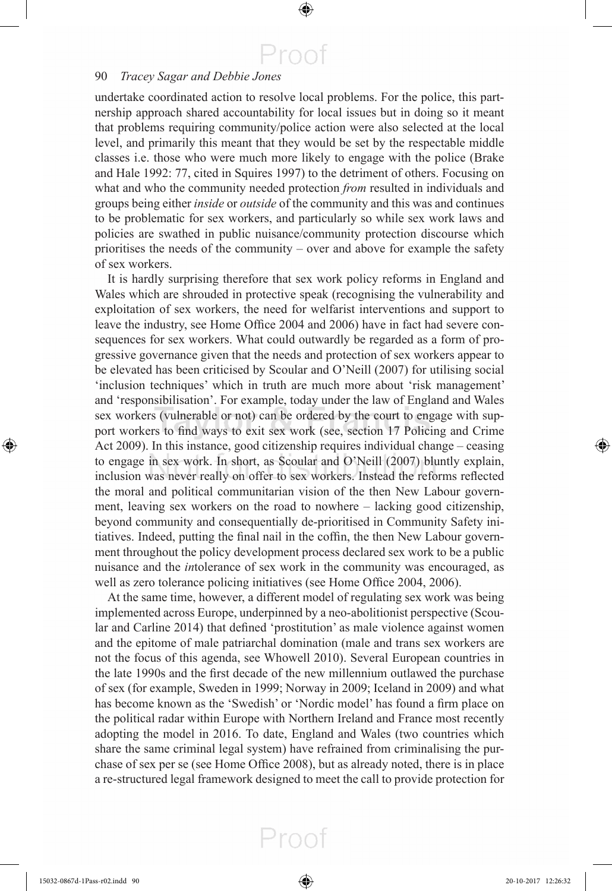$\bigoplus$ 

#### 90 *Tracey Sagar and Debbie Jones*

undertake coordinated action to resolve local problems. For the police, this partnership approach shared accountability for local issues but in doing so it meant that problems requiring community/police action were also selected at the local level, and primarily this meant that they would be set by the respectable middle classes i.e. those who were much more likely to engage with the police (Brake and Hale 1992: 77, cited in Squires 1997 ) to the detriment of others. Focusing on what and who the community needed protection *from* resulted in individuals and groups being either *inside* or *outside* of the community and this was and continues to be problematic for sex workers, and particularly so while sex work laws and policies are swathed in public nuisance/community protection discourse which prioritises the needs of the community – over and above for example the safety of sex workers.

 It is hardly surprising therefore that sex work policy reforms in England and Wales which are shrouded in protective speak (recognising the vulnerability and exploitation of sex workers, the need for welfarist interventions and support to leave the industry, see Home Office 2004 and 2006) have in fact had severe consequences for sex workers. What could outwardly be regarded as a form of progressive governance given that the needs and protection of sex workers appear to be elevated has been criticised by Scoular and O'Neill (2007) for utilising social 'inclusion techniques' which in truth are much more about 'risk management' and 'responsibilisation'. For example, today under the law of England and Wales sex workers (vulnerable or not) can be ordered by the court to engage with support workers to find ways to exit sex work (see, section 17 Policing and Crime Act 2009). In this instance, good citizenship requires individual change – ceasing to engage in sex work. In short, as Scoular and O'Neill (2007) bluntly explain, inclusion was never really on offer to sex workers. Instead the reforms reflected the moral and political communitarian vision of the then New Labour government, leaving sex workers on the road to nowhere – lacking good citizenship, beyond community and consequentially de-prioritised in Community Safety initiatives. Indeed, putting the final nail in the coffin, the then New Labour government throughout the policy development process declared sex work to be a public nuisance and the *in* tolerance of sex work in the community was encouraged, as well as zero tolerance policing initiatives (see Home Office 2004, 2006).

 At the same time, however, a different model of regulating sex work was being implemented across Europe, underpinned by a neo-abolitionist perspective ( Scoular and Carline 2014) that defined 'prostitution' as male violence against women and the epitome of male patriarchal domination (male and trans sex workers are not the focus of this agenda, see Whowell 2010 ). Several European countries in the late 1990s and the first decade of the new millennium outlawed the purchase of sex (for example, Sweden in 1999; Norway in 2009; Iceland in 2009) and what has become known as the 'Swedish' or 'Nordic model' has found a firm place on the political radar within Europe with Northern Ireland and France most recently adopting the model in 2016. To date, England and Wales (two countries which share the same criminal legal system) have refrained from criminalising the purchase of sex per se (see Home Office 2008), but as already noted, there is in place a re-structured legal framework designed to meet the call to provide protection for

Proof

⊕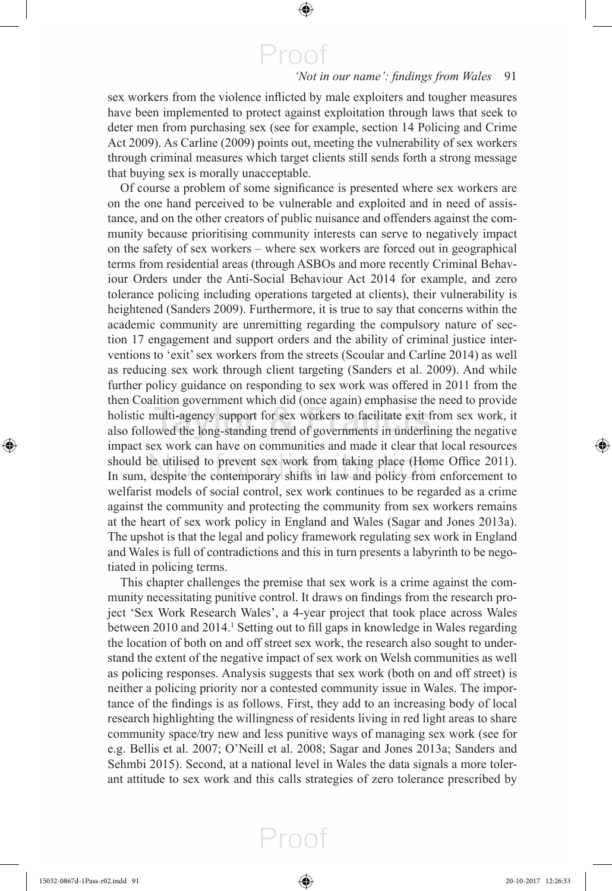$\bigoplus$ 

#### 'Not in our name': findings from Wales 91

sex workers from the violence inflicted by male exploiters and tougher measures have been implemented to protect against exploitation through laws that seek to deter men from purchasing sex (see for example, section 14 Policing and Crime Act 2009). As Carline (2009) points out, meeting the vulnerability of sex workers through criminal measures which target clients still sends forth a strong message that buying sex is morally unacceptable.

Of course a problem of some significance is presented where sex workers are on the one hand perceived to be vulnerable and exploited and in need of assistance, and on the other creators of public nuisance and offenders against the community because prioritising community interests can serve to negatively impact on the safety of sex workers – where sex workers are forced out in geographical terms from residential areas (through ASBOs and more recently Criminal Behaviour Orders under the Anti-Social Behaviour Act 2014 for example, and zero tolerance policing including operations targeted at clients), their vulnerability is heightened (Sanders 2009). Furthermore, it is true to say that concerns within the academic community are unremitting regarding the compulsory nature of section 17 engagement and support orders and the ability of criminal justice interventions to 'exit' sex workers from the streets (Scoular and Carline 2014) as well as reducing sex work through client targeting (Sanders et al. 2009). And while further policy guidance on responding to sex work was offered in 2011 from the then Coalition government which did (once again) emphasise the need to provide holistic multi-agency support for sex workers to facilitate exit from sex work, it also followed the long-standing trend of governments in underlining the negative impact sex work can have on communities and made it clear that local resources should be utilised to prevent sex work from taking place (Home Office 2011). In sum, despite the contemporary shifts in law and policy from enforcement to welfarist models of social control, sex work continues to be regarded as a crime against the community and protecting the community from sex workers remains at the heart of sex work policy in England and Wales (Sagar and Jones 2013a). The upshot is that the legal and policy framework regulating sex work in England and Wales is full of contradictions and this in turn presents a labyrinth to be negotiated in policing terms.

 This chapter challenges the premise that sex work is a crime against the community necessitating punitive control. It draws on findings from the research project 'Sex Work Research Wales', a 4-year project that took place across Wales between 2010 and 2014.<sup>1</sup> Setting out to fill gaps in knowledge in Wales regarding the location of both on and off street sex work, the research also sought to understand the extent of the negative impact of sex work on Welsh communities as well as policing responses. Analysis suggests that sex work (both on and off street) is neither a policing priority nor a contested community issue in Wales. The importance of the findings is as follows. First, they add to an increasing body of local research highlighting the willingness of residents living in red light areas to share community space/try new and less punitive ways of managing sex work (see for e.g. Bellis et al. 2007; O'Neill et al. 2008; Sagar and Jones 2013a; Sanders and Sehmbi 2015). Second, at a national level in Wales the data signals a more tolerant attitude to sex work and this calls strategies of zero tolerance prescribed by

Proof

⊕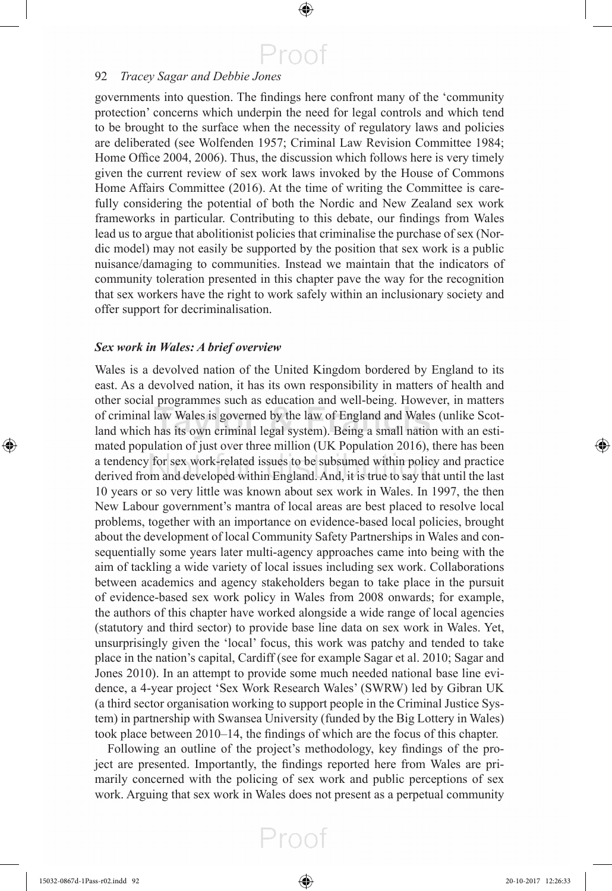$\bigoplus$ 

#### 92 *Tracey Sagar and Debbie Jones*

governments into question. The findings here confront many of the 'community protection' concerns which underpin the need for legal controls and which tend to be brought to the surface when the necessity of regulatory laws and policies are deliberated (see Wolfenden 1957 ; Criminal Law Revision Committee 1984 ; Home Office 2004, 2006). Thus, the discussion which follows here is very timely given the current review of sex work laws invoked by the House of Commons Home Affairs Committee (2016). At the time of writing the Committee is carefully considering the potential of both the Nordic and New Zealand sex work frameworks in particular. Contributing to this debate, our findings from Wales lead us to argue that abolitionist policies that criminalise the purchase of sex (Nordic model) may not easily be supported by the position that sex work is a public nuisance/damaging to communities. Instead we maintain that the indicators of community toleration presented in this chapter pave the way for the recognition that sex workers have the right to work safely within an inclusionary society and offer support for decriminalisation.

#### *Sex work in Wales: A brief overview*

 Wales is a devolved nation of the United Kingdom bordered by England to its east. As a devolved nation, it has its own responsibility in matters of health and other social programmes such as education and well-being. However, in matters of criminal law Wales is governed by the law of England and Wales (unlike Scotland which has its own criminal legal system). Being a small nation with an estimated population of just over three million (UK Population 2016), there has been a tendency for sex work-related issues to be subsumed within policy and practice derived from and developed within England. And, it is true to say that until the last 10 years or so very little was known about sex work in Wales. In 1997, the then New Labour government's mantra of local areas are best placed to resolve local problems, together with an importance on evidence-based local policies, brought about the development of local Community Safety Partnerships in Wales and consequentially some years later multi-agency approaches came into being with the aim of tackling a wide variety of local issues including sex work. Collaborations between academics and agency stakeholders began to take place in the pursuit of evidence-based sex work policy in Wales from 2008 onwards; for example, the authors of this chapter have worked alongside a wide range of local agencies (statutory and third sector) to provide base line data on sex work in Wales. Yet, unsurprisingly given the 'local' focus, this work was patchy and tended to take place in the nation's capital, Cardiff (see for example Sagar et al. 2010; Sagar and Jones 2010). In an attempt to provide some much needed national base line evidence, a 4-year project 'Sex Work Research Wales' (SWRW) led by Gibran UK (a third sector organisation working to support people in the Criminal Justice System) in partnership with Swansea University (funded by the Big Lottery in Wales) took place between 2010–14, the findings of which are the focus of this chapter.

Following an outline of the project's methodology, key findings of the project are presented. Importantly, the findings reported here from Wales are primarily concerned with the policing of sex work and public perceptions of sex work. Arguing that sex work in Wales does not present as a perpetual community

⊕

⊕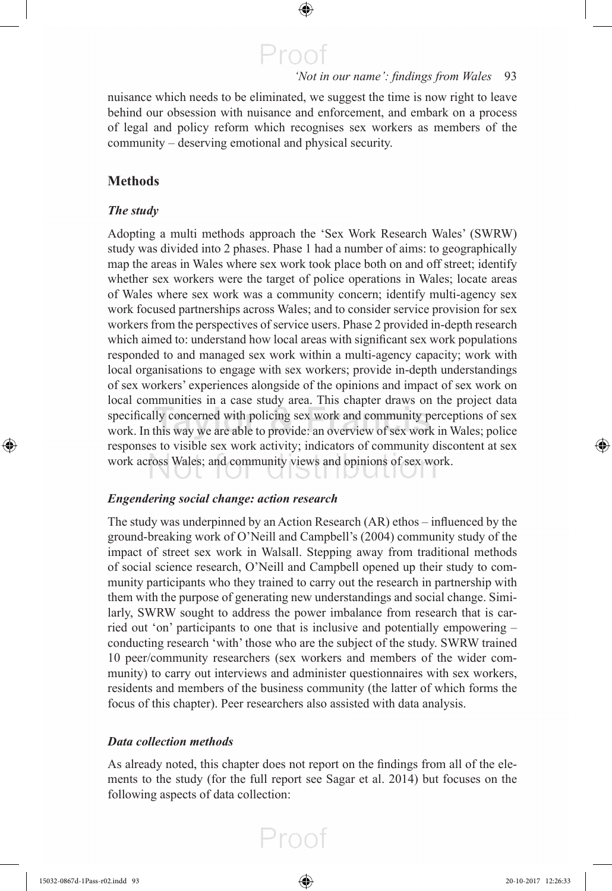#### 'Not in our name': findings from Wales 93

nuisance which needs to be eliminated, we suggest the time is now right to leave behind our obsession with nuisance and enforcement, and embark on a process of legal and policy reform which recognises sex workers as members of the community – deserving emotional and physical security.

 $\bigoplus$ 

Proof

#### **Methods**

#### *The study*

 Adopting a multi methods approach the 'Sex Work Research Wales' (SWRW) study was divided into 2 phases. Phase 1 had a number of aims: to geographically map the areas in Wales where sex work took place both on and off street; identify whether sex workers were the target of police operations in Wales; locate areas of Wales where sex work was a community concern; identify multi-agency sex work focused partnerships across Wales; and to consider service provision for sex workers from the perspectives of service users. Phase 2 provided in-depth research which aimed to: understand how local areas with significant sex work populations responded to and managed sex work within a multi-agency capacity; work with local organisations to engage with sex workers; provide in-depth understandings of sex workers' experiences alongside of the opinions and impact of sex work on local communities in a case study area. This chapter draws on the project data specifically concerned with policing sex work and community perceptions of sex work. In this way we are able to provide: an overview of sex work in Wales; police responses to visible sex work activity; indicators of community discontent at sex work across Wales; and community views and opinions of sex work.

#### *Engendering social change: action research*

The study was underpinned by an Action Research  $(AR)$  ethos – influenced by the ground-breaking work of O'Neill and Campbell's (2004 ) community study of the impact of street sex work in Walsall. Stepping away from traditional methods of social science research, O'Neill and Campbell opened up their study to community participants who they trained to carry out the research in partnership with them with the purpose of generating new understandings and social change. Similarly, SWRW sought to address the power imbalance from research that is carried out 'on' participants to one that is inclusive and potentially empowering – conducting research 'with' those who are the subject of the study. SWRW trained 10 peer/community researchers (sex workers and members of the wider community) to carry out interviews and administer questionnaires with sex workers, residents and members of the business community (the latter of which forms the focus of this chapter). Peer researchers also assisted with data analysis.

#### *Data collection methods*

As already noted, this chapter does not report on the findings from all of the elements to the study (for the full report see Sagar et al. 2014) but focuses on the following aspects of data collection:

⊕

⊕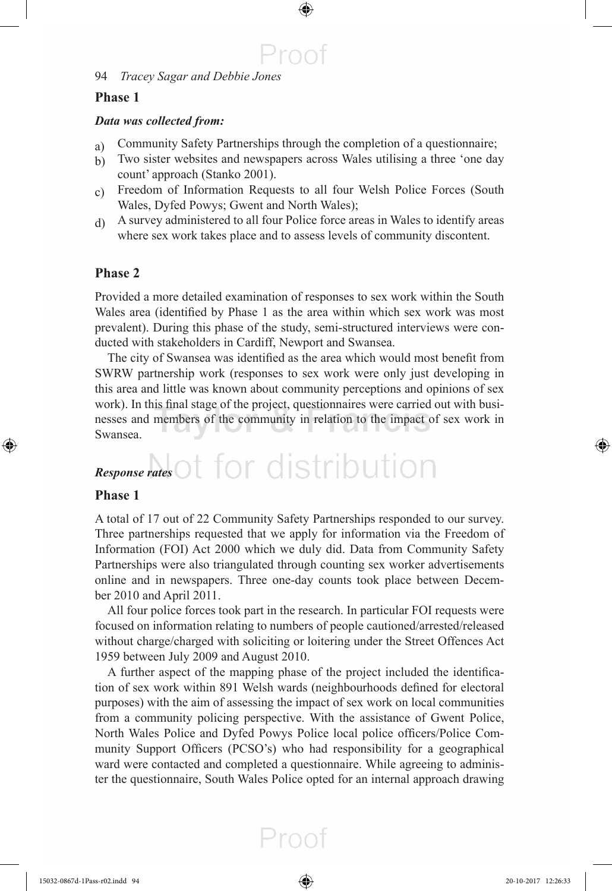#### **Phase 1**

#### *Data was collected from:*

a) Community Safety Partnerships through the completion of a questionnaire;

 $\bigoplus$ 

Proof

- b) Two sister websites and newspapers across Wales utilising a three 'one day count' approach (Stanko 2001).
- c) Freedom of Information Requests to all four Welsh Police Forces (South Wales, Dyfed Powys; Gwent and North Wales);
- d) A survey administered to all four Police force areas in Wales to identify areas where sex work takes place and to assess levels of community discontent.

#### **Phase 2**

 Provided a more detailed examination of responses to sex work within the South Wales area (identified by Phase 1 as the area within which sex work was most prevalent). During this phase of the study, semi-structured interviews were conducted with stakeholders in Cardiff, Newport and Swansea.

The city of Swansea was identified as the area which would most benefit from SWRW partnership work (responses to sex work were only just developing in this area and little was known about community perceptions and opinions of sex work). In this final stage of the project, questionnaires were carried out with businesses and members of the community in relation to the impact of sex work in Swansea.

# *Response rates*

#### **Phase 1**

◈

 A total of 17 out of 22 Community Safety Partnerships responded to our survey. Three partnerships requested that we apply for information via the Freedom of Information (FOI) Act 2000 which we duly did. Data from Community Safety Partnerships were also triangulated through counting sex worker advertisements online and in newspapers. Three one-day counts took place between December 2010 and April 2011.

 All four police forces took part in the research. In particular FOI requests were focused on information relating to numbers of people cautioned/arrested/released without charge/charged with soliciting or loitering under the Street Offences Act 1959 between July 2009 and August 2010.

A further aspect of the mapping phase of the project included the identification of sex work within 891 Welsh wards (neighbourhoods defined for electoral purposes) with the aim of assessing the impact of sex work on local communities from a community policing perspective. With the assistance of Gwent Police, North Wales Police and Dyfed Powys Police local police officers/Police Community Support Officers (PCSO's) who had responsibility for a geographical ward were contacted and completed a questionnaire. While agreeing to administer the questionnaire, South Wales Police opted for an internal approach drawing ⊕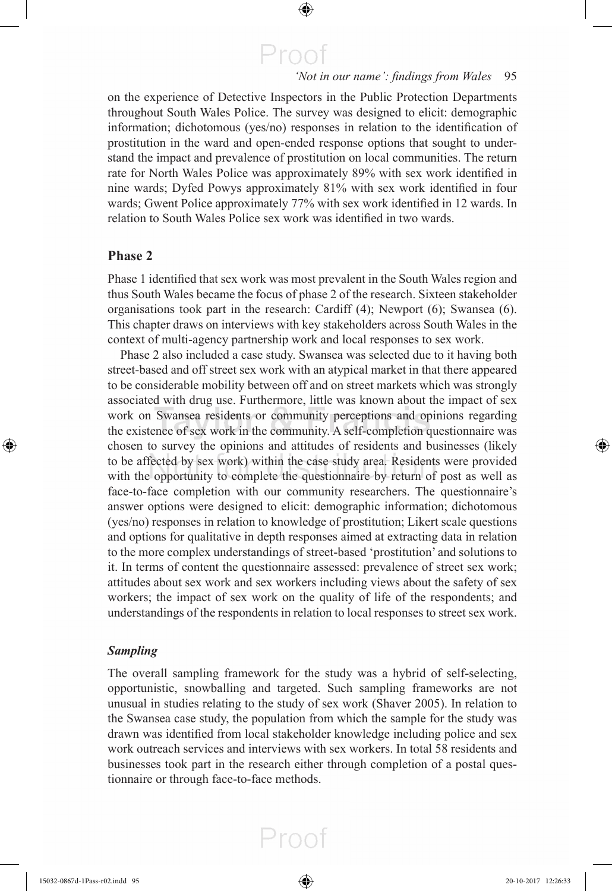$\bigoplus$ 

#### 'Not in our name': findings from Wales 95

on the experience of Detective Inspectors in the Public Protection Departments throughout South Wales Police. The survey was designed to elicit: demographic information; dichotomous (yes/no) responses in relation to the identification of prostitution in the ward and open-ended response options that sought to understand the impact and prevalence of prostitution on local communities. The return rate for North Wales Police was approximately 89% with sex work identified in nine wards; Dyfed Powys approximately 81% with sex work identified in four wards; Gwent Police approximately 77% with sex work identified in 12 wards. In relation to South Wales Police sex work was identified in two wards.

#### **Phase 2**

⊕

Phase 1 identified that sex work was most prevalent in the South Wales region and thus South Wales became the focus of phase 2 of the research. Sixteen stakeholder organisations took part in the research: Cardiff (4); Newport (6); Swansea (6). This chapter draws on interviews with key stakeholders across South Wales in the context of multi-agency partnership work and local responses to sex work.

 Phase 2 also included a case study. Swansea was selected due to it having both street-based and off street sex work with an atypical market in that there appeared to be considerable mobility between off and on street markets which was strongly associated with drug use. Furthermore, little was known about the impact of sex work on Swansea residents or community perceptions and opinions regarding the existence of sex work in the community. A self-completion questionnaire was chosen to survey the opinions and attitudes of residents and businesses (likely to be affected by sex work) within the case study area. Residents were provided with the opportunity to complete the questionnaire by return of post as well as face-to-face completion with our community researchers. The questionnaire's answer options were designed to elicit: demographic information; dichotomous (yes/no) responses in relation to knowledge of prostitution; Likert scale questions and options for qualitative in depth responses aimed at extracting data in relation to the more complex understandings of street-based 'prostitution' and solutions to it. In terms of content the questionnaire assessed: prevalence of street sex work; attitudes about sex work and sex workers including views about the safety of sex workers; the impact of sex work on the quality of life of the respondents; and understandings of the respondents in relation to local responses to street sex work.

#### *Sampling*

 The overall sampling framework for the study was a hybrid of self-selecting, opportunistic, snowballing and targeted. Such sampling frameworks are not unusual in studies relating to the study of sex work ( Shaver 2005 ). In relation to the Swansea case study, the population from which the sample for the study was drawn was identified from local stakeholder knowledge including police and sex work outreach services and interviews with sex workers. In total 58 residents and businesses took part in the research either through completion of a postal questionnaire or through face-to-face methods.

⊕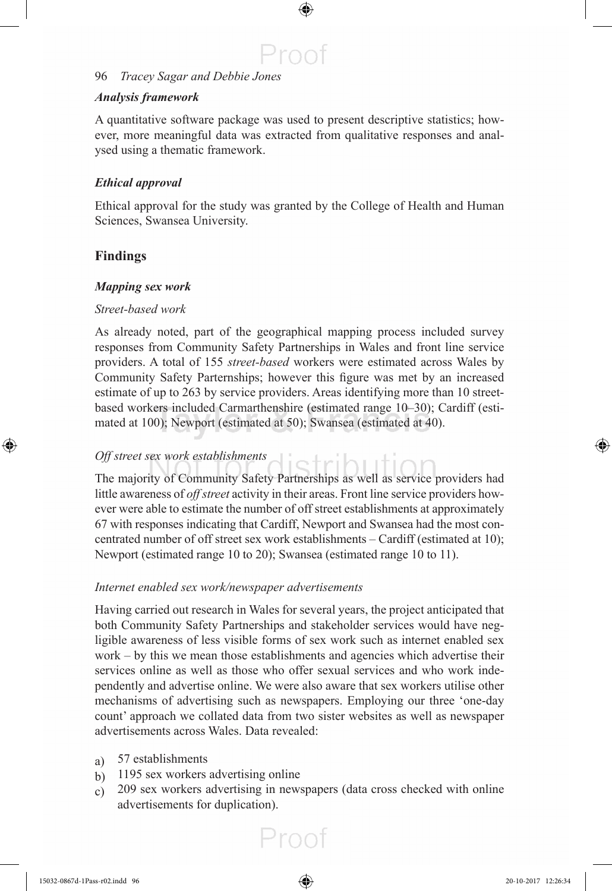#### *Analysis framework*

 A quantitative software package was used to present descriptive statistics; however, more meaningful data was extracted from qualitative responses and analysed using a thematic framework.

 $\bigoplus$ 

Proot

#### *Ethical approval*

 Ethical approval for the study was granted by the College of Health and Human Sciences, Swansea University.

#### **Findings**

⊕

#### *Mapping sex work*

#### *Street-based work*

 As already noted, part of the geographical mapping process included survey responses from Community Safety Partnerships in Wales and front line service providers. A total of 155 *street-based* workers were estimated across Wales by Community Safety Parternships; however this figure was met by an increased estimate of up to 263 by service providers. Areas identifying more than 10 streetbased workers included Carmarthenshire (estimated range 10–30); Cardiff (estimated at 100); Newport (estimated at 50); Swansea (estimated at 40).

#### *Off street sex work establishments*

 The majority of Community Safety Partnerships as well as service providers had little awareness of *off street* activity in their areas. Front line service providers however were able to estimate the number of off street establishments at approximately 67 with responses indicating that Cardiff, Newport and Swansea had the most concentrated number of off street sex work establishments – Cardiff (estimated at 10); Newport (estimated range 10 to 20); Swansea (estimated range 10 to 11).

etributti

#### *Internet enabled sex work/newspaper advertisements*

 Having carried out research in Wales for several years, the project anticipated that both Community Safety Partnerships and stakeholder services would have negligible awareness of less visible forms of sex work such as internet enabled sex work – by this we mean those establishments and agencies which advertise their services online as well as those who offer sexual services and who work independently and advertise online. We were also aware that sex workers utilise other mechanisms of advertising such as newspapers. Employing our three 'one-day count' approach we collated data from two sister websites as well as newspaper advertisements across Wales. Data revealed:

- a) 57 establishments
- b) 1195 sex workers advertising online
- c) 209 sex workers advertising in newspapers (data cross checked with online advertisements for duplication).

Proof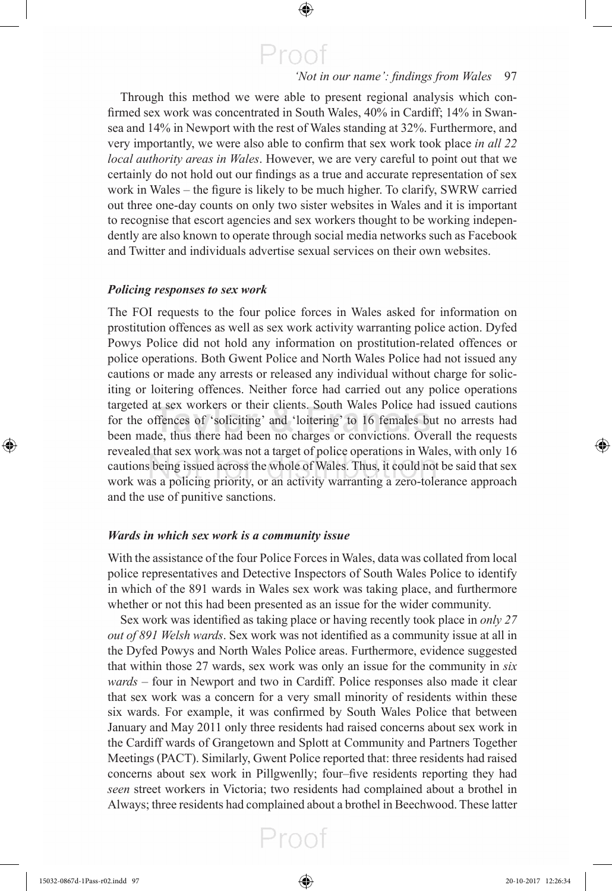$\bigoplus$ 

#### 'Not in our name': findings from Wales 97

 Through this method we were able to present regional analysis which confirmed sex work was concentrated in South Wales, 40% in Cardiff; 14% in Swansea and 14% in Newport with the rest of Wales standing at 32%. Furthermore, and very importantly, we were also able to confirm that sex work took place *in all 22 local authority areas in Wales* . However, we are very careful to point out that we certainly do not hold out our findings as a true and accurate representation of sex work in Wales – the figure is likely to be much higher. To clarify, SWRW carried out three one-day counts on only two sister websites in Wales and it is important to recognise that escort agencies and sex workers thought to be working independently are also known to operate through social media networks such as Facebook and Twitter and individuals advertise sexual services on their own websites.

#### *Policing responses to sex work*

 The FOI requests to the four police forces in Wales asked for information on prostitution offences as well as sex work activity warranting police action. Dyfed Powys Police did not hold any information on prostitution-related offences or police operations. Both Gwent Police and North Wales Police had not issued any cautions or made any arrests or released any individual without charge for soliciting or loitering offences. Neither force had carried out any police operations targeted at sex workers or their clients. South Wales Police had issued cautions for the offences of 'soliciting' and 'loitering' to 16 females but no arrests had been made, thus there had been no charges or convictions. Overall the requests revealed that sex work was not a target of police operations in Wales, with only 16 cautions being issued across the whole of Wales. Thus, it could not be said that sex work was a policing priority, or an activity warranting a zero-tolerance approach and the use of punitive sanctions.

#### *Wards in which sex work is a community issue*

 With the assistance of the four Police Forces in Wales, data was collated from local police representatives and Detective Inspectors of South Wales Police to identify in which of the 891 wards in Wales sex work was taking place, and furthermore whether or not this had been presented as an issue for the wider community.

Sex work was identified as taking place or having recently took place in *only 27 out of 891 Welsh wards*. Sex work was not identified as a community issue at all in the Dyfed Powys and North Wales Police areas. Furthermore, evidence suggested that within those 27 wards, sex work was only an issue for the community in *six wards* – four in Newport and two in Cardiff. Police responses also made it clear that sex work was a concern for a very small minority of residents within these six wards. For example, it was confirmed by South Wales Police that between January and May 2011 only three residents had raised concerns about sex work in the Cardiff wards of Grangetown and Splott at Community and Partners Together Meetings (PACT). Similarly, Gwent Police reported that: three residents had raised concerns about sex work in Pillgwenlly; four–five residents reporting they had *seen* street workers in Victoria; two residents had complained about a brothel in Always; three residents had complained about a brothel in Beechwood. These latter



⊕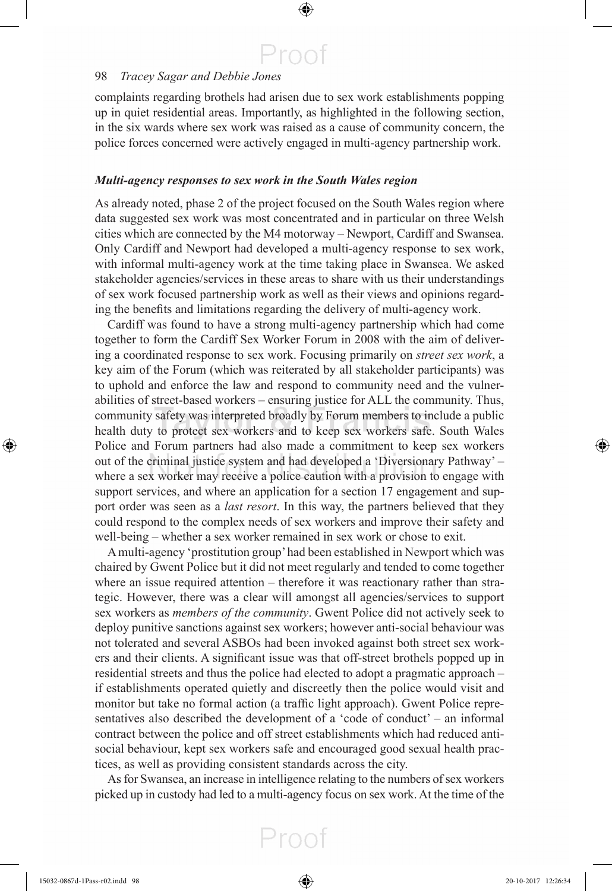$\bigoplus$ 

#### 98 *Tracey Sagar and Debbie Jones*

complaints regarding brothels had arisen due to sex work establishments popping up in quiet residential areas. Importantly, as highlighted in the following section, in the six wards where sex work was raised as a cause of community concern, the police forces concerned were actively engaged in multi-agency partnership work.

#### *Multi-agency responses to sex work in the South Wales region*

 As already noted, phase 2 of the project focused on the South Wales region where data suggested sex work was most concentrated and in particular on three Welsh cities which are connected by the M4 motorway – Newport, Cardiff and Swansea. Only Cardiff and Newport had developed a multi-agency response to sex work, with informal multi-agency work at the time taking place in Swansea. We asked stakeholder agencies/services in these areas to share with us their understandings of sex work focused partnership work as well as their views and opinions regarding the benefits and limitations regarding the delivery of multi-agency work.

 Cardiff was found to have a strong multi-agency partnership which had come together to form the Cardiff Sex Worker Forum in 2008 with the aim of delivering a coordinated response to sex work. Focusing primarily on *street sex work* , a key aim of the Forum (which was reiterated by all stakeholder participants) was to uphold and enforce the law and respond to community need and the vulnerabilities of street-based workers – ensuring justice for ALL the community. Thus, community safety was interpreted broadly by Forum members to include a public health duty to protect sex workers and to keep sex workers safe. South Wales Police and Forum partners had also made a commitment to keep sex workers out of the criminal justice system and had developed a 'Diversionary Pathway' – where a sex worker may receive a police caution with a provision to engage with support services, and where an application for a section 17 engagement and support order was seen as a *last resort*. In this way, the partners believed that they could respond to the complex needs of sex workers and improve their safety and well-being – whether a sex worker remained in sex work or chose to exit.

 A multi-agency 'prostitution group' had been established in Newport which was chaired by Gwent Police but it did not meet regularly and tended to come together where an issue required attention – therefore it was reactionary rather than strategic. However, there was a clear will amongst all agencies/services to support sex workers as *members of the community* . Gwent Police did not actively seek to deploy punitive sanctions against sex workers; however anti-social behaviour was not tolerated and several ASBOs had been invoked against both street sex workers and their clients. A significant issue was that off-street brothels popped up in residential streets and thus the police had elected to adopt a pragmatic approach – if establishments operated quietly and discreetly then the police would visit and monitor but take no formal action (a traffic light approach). Gwent Police representatives also described the development of a 'code of conduct' – an informal contract between the police and off street establishments which had reduced antisocial behaviour, kept sex workers safe and encouraged good sexual health practices, as well as providing consistent standards across the city.

 As for Swansea, an increase in intelligence relating to the numbers of sex workers picked up in custody had led to a multi-agency focus on sex work. At the time of the

Proof

⊕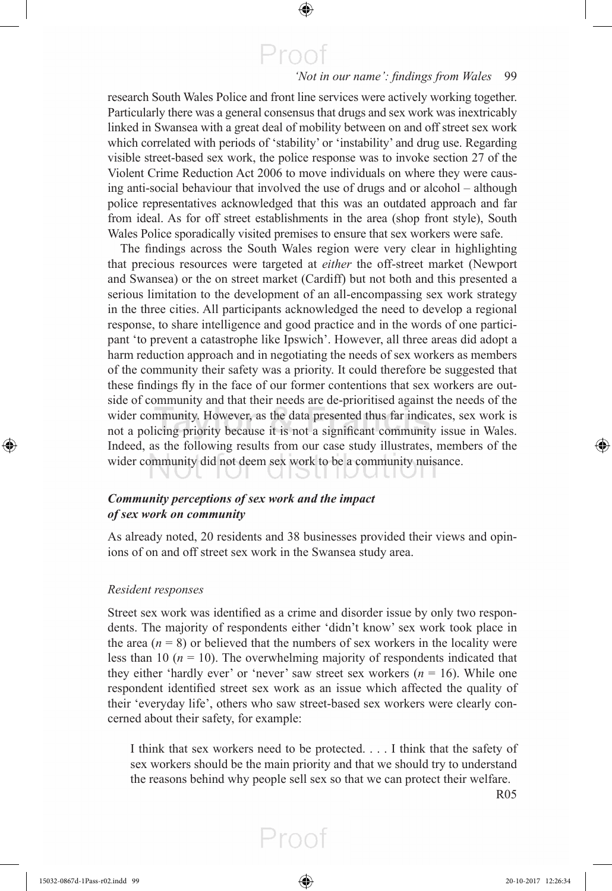$\bigoplus$ 

#### 'Not in our name': findings from Wales 99

research South Wales Police and front line services were actively working together. Particularly there was a general consensus that drugs and sex work was inextricably linked in Swansea with a great deal of mobility between on and off street sex work which correlated with periods of 'stability' or 'instability' and drug use. Regarding visible street-based sex work, the police response was to invoke section 27 of the Violent Crime Reduction Act 2006 to move individuals on where they were causing anti-social behaviour that involved the use of drugs and or alcohol – although police representatives acknowledged that this was an outdated approach and far from ideal. As for off street establishments in the area (shop front style), South Wales Police sporadically visited premises to ensure that sex workers were safe.

The findings across the South Wales region were very clear in highlighting that precious resources were targeted at *either* the off-street market (Newport and Swansea) or the on street market (Cardiff) but not both and this presented a serious limitation to the development of an all-encompassing sex work strategy in the three cities. All participants acknowledged the need to develop a regional response, to share intelligence and good practice and in the words of one participant 'to prevent a catastrophe like Ipswich'. However, all three areas did adopt a harm reduction approach and in negotiating the needs of sex workers as members of the community their safety was a priority. It could therefore be suggested that these findings fly in the face of our former contentions that sex workers are outside of community and that their needs are de-prioritised against the needs of the wider community. However, as the data presented thus far indicates, sex work is not a policing priority because it is not a significant community issue in Wales. Indeed, as the following results from our case study illustrates, members of the wider community did not deem sex work to be a community nuisance.

#### *Community perceptions of sex work and the impact of sex work on community*

 As already noted, 20 residents and 38 businesses provided their views and opinions of on and off street sex work in the Swansea study area.

#### *Resident responses*

Street sex work was identified as a crime and disorder issue by only two respondents. The majority of respondents either 'didn't know' sex work took place in the area  $(n = 8)$  or believed that the numbers of sex workers in the locality were less than 10 ( $n = 10$ ). The overwhelming majority of respondents indicated that they either 'hardly ever' or 'never' saw street sex workers  $(n = 16)$ . While one respondent identified street sex work as an issue which affected the quality of their 'everyday life', others who saw street-based sex workers were clearly concerned about their safety, for example:

 I think that sex workers need to be protected. . . . I think that the safety of sex workers should be the main priority and that we should try to understand the reasons behind why people sell sex so that we can protect their welfare.

Proof

R05

⊕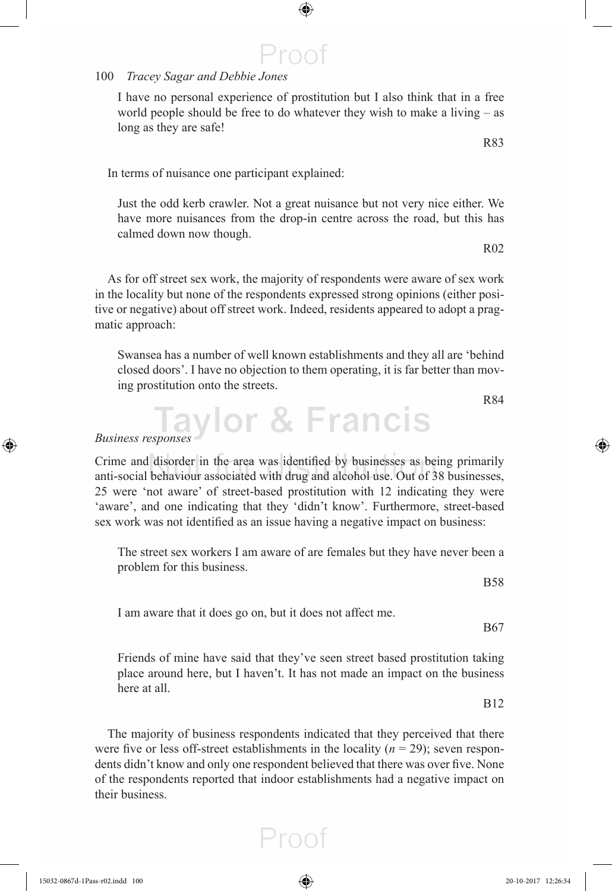⊕

 I have no personal experience of prostitution but I also think that in a free world people should be free to do whatever they wish to make a living – as long as they are safe!

 $\bigoplus$ 

Proof

In terms of nuisance one participant explained:

 Just the odd kerb crawler. Not a great nuisance but not very nice either. We have more nuisances from the drop-in centre across the road, but this has calmed down now though.

 As for off street sex work, the majority of respondents were aware of sex work in the locality but none of the respondents expressed strong opinions (either positive or negative) about off street work. Indeed, residents appeared to adopt a pragmatic approach:

 Swansea has a number of well known establishments and they all are 'behind closed doors'. I have no objection to them operating, it is far better than moving prostitution onto the streets.

Business responses y lor & Francis

Crime and disorder in the area was identified by businesses as being primarily anti-social behaviour associated with drug and alcohol use. Out of 38 businesses, 25 were 'not aware' of street-based prostitution with 12 indicating they were 'aware', and one indicating that they 'didn't know'. Furthermore, street-based sex work was not identified as an issue having a negative impact on business:

 The street sex workers I am aware of are females but they have never been a problem for this business.

I am aware that it does go on, but it does not affect me.

 Friends of mine have said that they've seen street based prostitution taking place around here, but I haven't. It has not made an impact on the business here at all.

 The majority of business respondents indicated that they perceived that there were five or less off-street establishments in the locality  $(n = 29)$ ; seven respondents didn't know and only one respondent believed that there was over five. None of the respondents reported that indoor establishments had a negative impact on their business.

Proot

R84

⊕

B67

B12

R83

R02

B58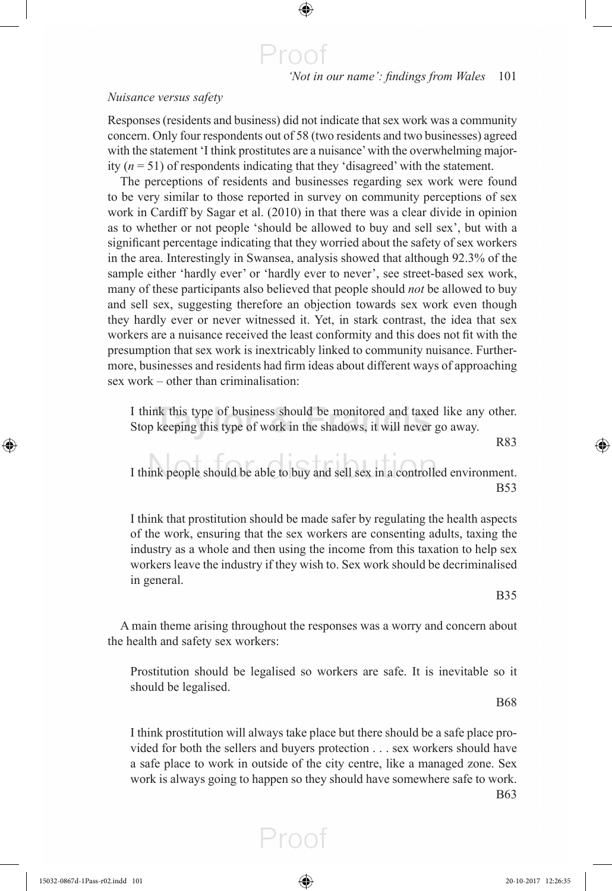### Proo

 $\bigoplus$ 

'Not in our name': findings from Wales 101

#### *Nuisance versus safety*

 Responses (residents and business) did not indicate that sex work was a community concern. Only four respondents out of 58 (two residents and two businesses) agreed with the statement 'I think prostitutes are a nuisance' with the overwhelming majority  $(n = 51)$  of respondents indicating that they 'disagreed' with the statement.

 The perceptions of residents and businesses regarding sex work were found to be very similar to those reported in survey on community perceptions of sex work in Cardiff by Sagar et al. (2010) in that there was a clear divide in opinion as to whether or not people 'should be allowed to buy and sell sex', but with a significant percentage indicating that they worried about the safety of sex workers in the area. Interestingly in Swansea, analysis showed that although 92.3% of the sample either 'hardly ever' or 'hardly ever to never', see street-based sex work, many of these participants also believed that people should *not* be allowed to buy and sell sex, suggesting therefore an objection towards sex work even though they hardly ever or never witnessed it. Yet, in stark contrast, the idea that sex workers are a nuisance received the least conformity and this does not fit with the presumption that sex work is inextricably linked to community nuisance. Furthermore, businesses and residents had firm ideas about different ways of approaching sex work – other than criminalisation:

 I think this type of business should be monitored and taxed like any other. Stop keeping this type of work in the shadows, it will never go away.

R83

⊕

 I think people should be able to buy and sell sex in a controlled environment. B53

 I think that prostitution should be made safer by regulating the health aspects of the work, ensuring that the sex workers are consenting adults, taxing the industry as a whole and then using the income from this taxation to help sex workers leave the industry if they wish to. Sex work should be decriminalised in general.

B35

 A main theme arising throughout the responses was a worry and concern about the health and safety sex workers:

 Prostitution should be legalised so workers are safe. It is inevitable so it should be legalised.

B68

 I think prostitution will always take place but there should be a safe place provided for both the sellers and buyers protection . . . sex workers should have a safe place to work in outside of the city centre, like a managed zone. Sex work is always going to happen so they should have somewhere safe to work. B63

Proot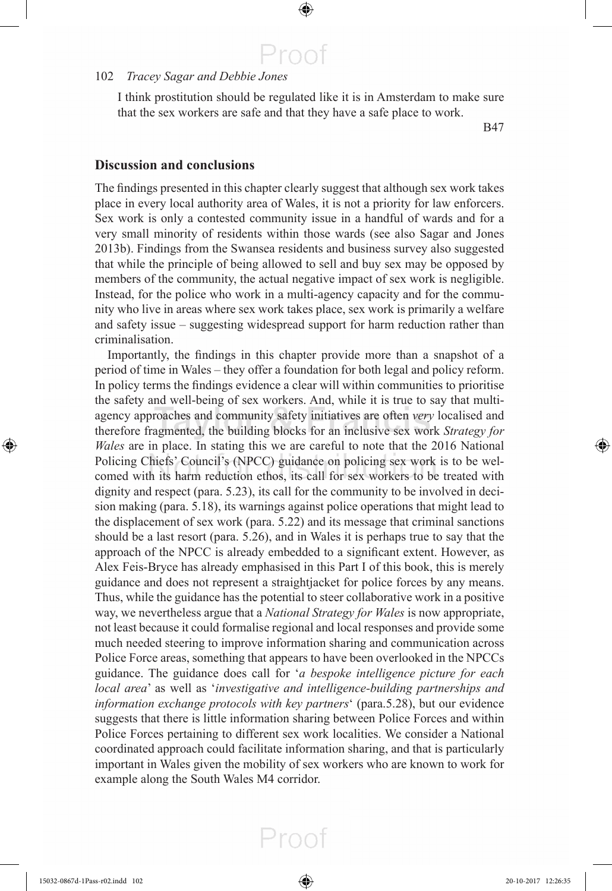I think prostitution should be regulated like it is in Amsterdam to make sure that the sex workers are safe and that they have a safe place to work.

 $\bigoplus$ 

Proof

B47

#### **Discussion and conclusions**

The findings presented in this chapter clearly suggest that although sex work takes place in every local authority area of Wales, it is not a priority for law enforcers. Sex work is only a contested community issue in a handful of wards and for a very small minority of residents within those wards (see also Sagar and Jones 2013 b). Findings from the Swansea residents and business survey also suggested that while the principle of being allowed to sell and buy sex may be opposed by members of the community, the actual negative impact of sex work is negligible. Instead, for the police who work in a multi-agency capacity and for the community who live in areas where sex work takes place, sex work is primarily a welfare and safety issue – suggesting widespread support for harm reduction rather than criminalisation.

Importantly, the findings in this chapter provide more than a snapshot of a period of time in Wales – they offer a foundation for both legal and policy reform. In policy terms the findings evidence a clear will within communities to prioritise the safety and well-being of sex workers. And, while it is true to say that multiagency approaches and community safety initiatives are often *very* localised and therefore fragmented, the building blocks for an inclusive sex work *Strategy for Wales* are in place. In stating this we are careful to note that the 2016 National Policing Chiefs' Council's (NPCC) guidance on policing sex work is to be welcomed with its harm reduction ethos, its call for sex workers to be treated with dignity and respect (para. 5.23), its call for the community to be involved in decision making (para. 5.18), its warnings against police operations that might lead to the displacement of sex work (para. 5.22) and its message that criminal sanctions should be a last resort (para. 5.26), and in Wales it is perhaps true to say that the approach of the NPCC is already embedded to a significant extent. However, as Alex Feis-Bryce has already emphasised in this Part I of this book, this is merely guidance and does not represent a straightjacket for police forces by any means. Thus, while the guidance has the potential to steer collaborative work in a positive way, we nevertheless argue that a *National Strategy for Wales* is now appropriate, not least because it could formalise regional and local responses and provide some much needed steering to improve information sharing and communication across Police Force areas, something that appears to have been overlooked in the NPCCs guidance. The guidance does call for '*a bespoke intelligence picture for each local area* ' as well as ' *investigative and intelligence-building partnerships and information exchange protocols with key partners* ' (para.5.28), but our evidence suggests that there is little information sharing between Police Forces and within Police Forces pertaining to different sex work localities. We consider a National coordinated approach could facilitate information sharing, and that is particularly important in Wales given the mobility of sex workers who are known to work for example along the South Wales M4 corridor.

⊕

⊕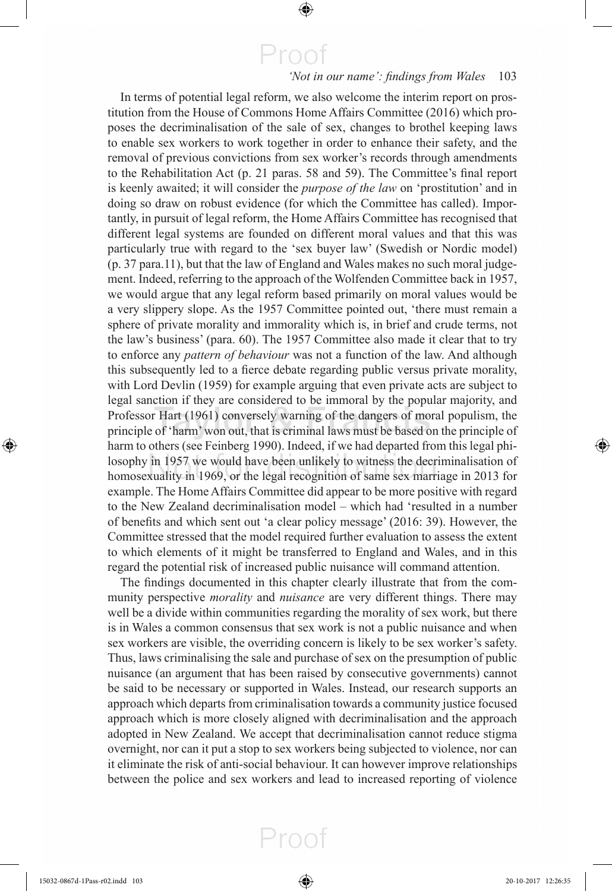$\bigoplus$ 

#### 'Not in our name': findings from Wales 103

 In terms of potential legal reform, we also welcome the interim report on prostitution from the House of Commons Home Affairs Committee (2016) which proposes the decriminalisation of the sale of sex, changes to brothel keeping laws to enable sex workers to work together in order to enhance their safety, and the removal of previous convictions from sex worker's records through amendments to the Rehabilitation Act  $(p, 21)$  paras. 58 and 59). The Committee's final report is keenly awaited; it will consider the *purpose of the law* on 'prostitution' and in doing so draw on robust evidence (for which the Committee has called). Importantly, in pursuit of legal reform, the Home Affairs Committee has recognised that different legal systems are founded on different moral values and that this was particularly true with regard to the 'sex buyer law' (Swedish or Nordic model) (p. 37 para.11), but that the law of England and Wales makes no such moral judgement. Indeed, referring to the approach of the Wolfenden Committee back in 1957, we would argue that any legal reform based primarily on moral values would be a very slippery slope. As the 1957 Committee pointed out, 'there must remain a sphere of private morality and immorality which is, in brief and crude terms, not the law's business' (para. 60). The 1957 Committee also made it clear that to try to enforce any *pattern of behaviour* was not a function of the law. And although this subsequently led to a fierce debate regarding public versus private morality, with Lord Devlin (1959) for example arguing that even private acts are subject to legal sanction if they are considered to be immoral by the popular majority, and Professor Hart (1961) conversely warning of the dangers of moral populism, the principle of 'harm' won out, that is criminal laws must be based on the principle of harm to others (see Feinberg 1990). Indeed, if we had departed from this legal philosophy in 1957 we would have been unlikely to witness the decriminalisation of homosexuality in 1969, or the legal recognition of same sex marriage in 2013 for example. The Home Affairs Committee did appear to be more positive with regard to the New Zealand decriminalisation model – which had 'resulted in a number of benefits and which sent out 'a clear policy message' (2016: 39). However, the Committee stressed that the model required further evaluation to assess the extent to which elements of it might be transferred to England and Wales, and in this regard the potential risk of increased public nuisance will command attention.

The findings documented in this chapter clearly illustrate that from the community perspective *morality* and *nuisance* are very different things. There may well be a divide within communities regarding the morality of sex work, but there is in Wales a common consensus that sex work is not a public nuisance and when sex workers are visible, the overriding concern is likely to be sex worker's safety. Thus, laws criminalising the sale and purchase of sex on the presumption of public nuisance (an argument that has been raised by consecutive governments) cannot be said to be necessary or supported in Wales. Instead, our research supports an approach which departs from criminalisation towards a community justice focused approach which is more closely aligned with decriminalisation and the approach adopted in New Zealand. We accept that decriminalisation cannot reduce stigma overnight, nor can it put a stop to sex workers being subjected to violence, nor can it eliminate the risk of anti-social behaviour. It can however improve relationships between the police and sex workers and lead to increased reporting of violence

Proof

⊕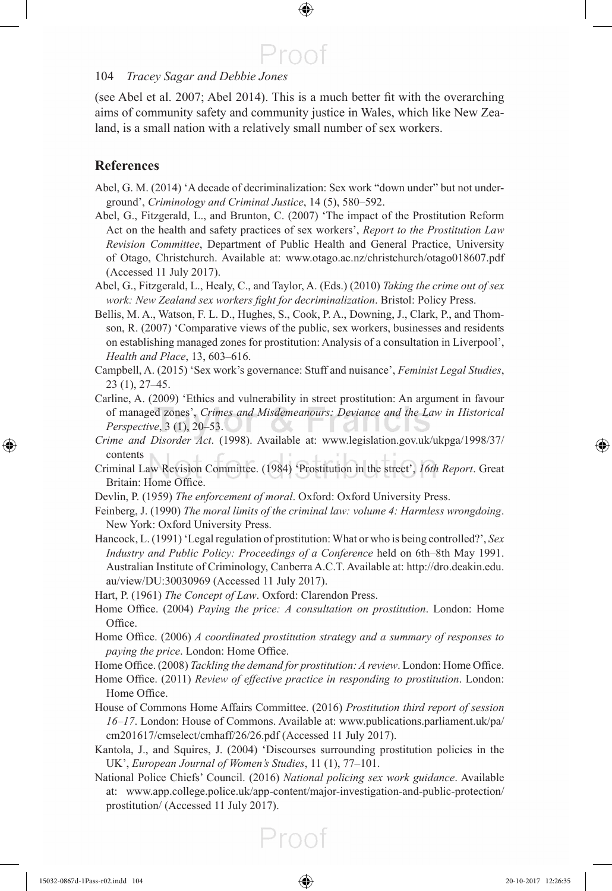#### 104 *Tracey Sagar and Debbie Jones*

(see Abel et al. 2007 ; Abel 2014 ). This is a much better fi t with the overarching aims of community safety and community justice in Wales, which like New Zealand, is a small nation with a relatively small number of sex workers.

#### **References**

- Abel, G. M. (2014) 'A decade of decriminalization: Sex work "down under" but not underground', *Criminology and Criminal Justice* , 14 (5), 580–592.
- Abel, G., Fitzgerald, L., and Brunton, C. (2007) 'The impact of the Prostitution Reform Act on the health and safety practices of sex workers', *Report to the Prostitution Law Revision Committee* , Department of Public Health and General Practice, University of Otago, Christchurch. Available at: www.otago.ac.nz/christchurch/otago018607.pdf (Accessed 11 July 2017).
- Abel, G., Fitzgerald, L., Healy, C., and Taylor, A. (Eds.) (2010) *Taking the crime out of sex work: New Zealand sex workers fight for decriminalization*. Bristol: Policy Press.
- Bellis, M. A., Watson, F. L. D., Hughes, S., Cook, P. A., Downing, J., Clark, P., and Thomson, R. (2007) 'Comparative views of the public, sex workers, businesses and residents on establishing managed zones for prostitution: Analysis of a consultation in Liverpool', *Health and Place* , 13, 603–616.
- Campbell, A. (2015) 'Sex work's governance: Stuff and nuisance', *Feminist Legal Studies* , 23 (1), 27–45.
- Carline, A. (2009) 'Ethics and vulnerability in street prostitution: An argument in favour of managed zones', *Crimes and Misdemeanours: Deviance and the Law in Historical Perspective*, 3 (1), 20–53.
- *Crime and Disorder Act* . (1998). Available at: www.legislation.gov.uk/ukpga/1998/37/ contents
- Criminal Law Revision Committee. (1984) 'Prostitution in the street', *16th Report* . Great Britain: Home Office.
- Devlin, P. (1959) *The enforcement of moral* . Oxford: Oxford University Press.
- Feinberg, J. (1990) *The moral limits of the criminal law: volume 4: Harmless wrongdoing* . New York: Oxford University Press.
- Hancock, L. (1991) 'Legal regulation of prostitution: What or who is being controlled?', *Sex Industry and Public Policy: Proceedings of a Conference* held on 6th–8th May 1991. Australian Institute of Criminology, Canberra A.C.T. Available at: http://dro.deakin.edu. au/view/DU:30030969 (Accessed 11 July 2017).
- Hart, P. (1961) *The Concept of Law*. Oxford: Clarendon Press.
- Home Office. (2004) *Paying the price: A consultation on prostitution*. London: Home Office.
- Home Office. (2006) *A coordinated prostitution strategy and a summary of responses to paying the price*. London: Home Office.
- Home Office. (2008) *Tackling the demand for prostitution: A review*. London: Home Office.
- Home Office. (2011) *Review of effective practice in responding to prostitution*. London: Home Office.
- House of Commons Home Affairs Committee. (2016) *Prostitution third report of session 16–17* . London: House of Commons. Available at: www.publications.parliament.uk/pa/ cm201617/cmselect/cmhaff/26/26.pdf (Accessed 11 July 2017).
- Kantola, J., and Squires, J. (2004) 'Discourses surrounding prostitution policies in the UK', *European Journal of Women's Studies* , 11 (1), 77–101.
- National Police Chiefs' Council. (2016) *National policing sex work guidance* . Available at: www.app.college.police.uk/app-content/major-investigation-and-public-protection/ prostitution/ (Accessed 11 July 2017).

⊕

⊕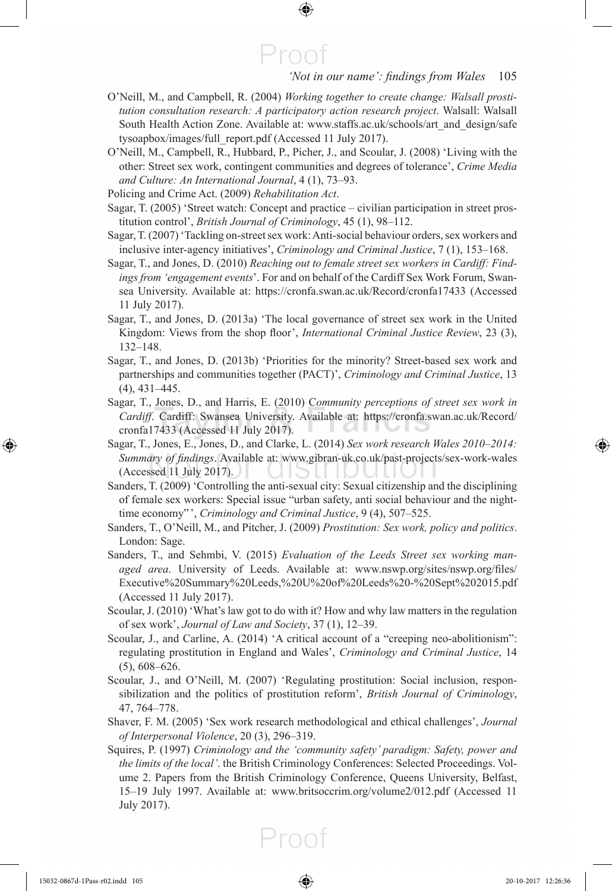#### 'Not in our name': findings from Wales 105

 O'Neill, M., and Campbell, R. (2004) *Working together to create change: Walsall prostitution consultation research: A participatory action research project* . Walsall: Walsall South Health Action Zone. Available at: www.staffs.ac.uk/schools/art\_and\_design/safe tysoapbox/images/full\_report.pdf (Accessed 11 July 2017).

⊕

Proo

- O'Neill, M., Campbell, R., Hubbard, P., Picher, J., and Scoular, J. (2008) 'Living with the other: Street sex work, contingent communities and degrees of tolerance', *Crime Media and Culture: An International Journal* , 4 (1), 73–93.
- Policing and Crime Act. (2009) *Rehabilitation Act* .
- Sagar, T. (2005) 'Street watch: Concept and practice civilian participation in street prostitution control', *British Journal of Criminology* , 45 (1), 98–112.
- Sagar, T. (2007) 'Tackling on-street sex work: Anti-social behaviour orders, sex workers and inclusive inter-agency initiatives', *Criminology and Criminal Justice* , 7 (1), 153–168.
- Sagar, T., and Jones, D. (2010) *Reaching out to female street sex workers in Cardiff: Findings from 'engagement events* '. For and on behalf of the Cardiff Sex Work Forum, Swansea University. Available at: https://cronfa.swan.ac.uk/Record/cronfa17433 (Accessed 11 July 2017).
- Sagar, T., and Jones, D. (2013a) 'The local governance of street sex work in the United Kingdom: Views from the shop floor', *International Criminal Justice Review*, 23 (3), 132–148.
- Sagar, T., and Jones, D. (2013b) 'Priorities for the minority? Street-based sex work and partnerships and communities together (PACT)', *Criminology and Criminal Justice* , 13 (4), 431–445.
- Sagar, T., Jones, D., and Harris, E. (2010) Community perceptions of street sex work in *Cardiff* . Cardiff: Swansea University. Available at: https://cronfa.swan.ac.uk/Record/ cronfa17433 (Accessed 11 July 2017).
- Sagar, T., Jones, E., Jones, D., and Clarke, L. (2014) *Sex work research Wales 2010–2014: Summary of findings*. Available at: www.gibran-uk.co.uk/past-projects/sex-work-wales (Accessed 11 July 2017).
- Sanders, T. (2009) 'Controlling the anti-sexual city: Sexual citizenship and the disciplining of female sex workers: Special issue "urban safety, anti social behaviour and the nighttime economy"', *Criminology and Criminal Justice*, 9 (4), 507–525.
- Sanders, T., O'Neill, M., and Pitcher, J. (2009) *Prostitution: Sex work, policy and politics* . London: Sage.
- Sanders, T., and Sehmbi, V. (2015) *Evaluation of the Leeds Street sex working managed area*. University of Leeds. Available at: www.nswp.org/sites/nswp.org/files/ Executive%20Summary%20Leeds,%20U%20of%20Leeds%20-%20Sept%202015.pdf (Accessed 11 July 2017).
- Scoular, J. (2010) 'What's law got to do with it? How and why law matters in the regulation of sex work', *Journal of Law and Society* , 37 (1), 12–39.
- Scoular, J., and Carline, A. (2014) 'A critical account of a "creeping neo-abolitionism": regulating prostitution in England and Wales', *Criminology and Criminal Justice* , 14 (5), 608–626.
- Scoular, J., and O'Neill, M. (2007) 'Regulating prostitution: Social inclusion, responsibilization and the politics of prostitution reform', *British Journal of Criminology* , 47, 764–778.
- Shaver, F. M. (2005) 'Sex work research methodological and ethical challenges', *Journal of Interpersonal Violence* , 20 (3), 296–319.
- Squires, P. (1997) *Criminology and the 'community safety' paradigm: Safety, power and the limits of the local'* . the British Criminology Conferences: Selected Proceedings. Volume 2. Papers from the British Criminology Conference, Queens University, Belfast, 15–19 July 1997. Available at: www.britsoccrim.org/volume2/012.pdf (Accessed 11 July 2017).

⊕